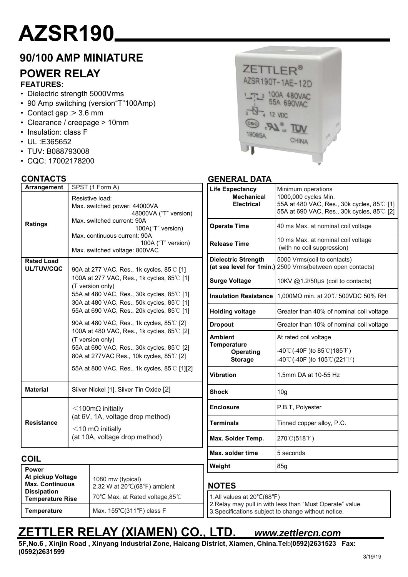# **AZSR190**

## **90/100 AMP MINIATURE**

## **POWER RELAY**

**FEATURES:**

- Dielectric strength 5000Vrms
- 90 Amp switching (version"T"100Amp)
- Contact gap :> 3.6 mm
- Clearance / creepage > 10mm
- Insulation: class F
- UL :E365652
- TUV: B088793008
- CQC: 17002178200

#### **CONTACTS**

**COIL**

**Power** 

**At pickup Voltage Max. Continuous Dissipation Temperature Rise**

| Arrangement                     | SPST (1 Form A)                                                                                                                                                                                                                                                                                                                                                                                                                                                                                             |  |  |  |
|---------------------------------|-------------------------------------------------------------------------------------------------------------------------------------------------------------------------------------------------------------------------------------------------------------------------------------------------------------------------------------------------------------------------------------------------------------------------------------------------------------------------------------------------------------|--|--|--|
| Ratings                         | Resistive load:<br>Max. switched power: 44000VA<br>48000VA ("T" version)<br>Max. switched current: 90A<br>100A("T" version)<br>Max. continuous current: 90A<br>100A ("T" version)<br>Max. switched voltage: 800VAC                                                                                                                                                                                                                                                                                          |  |  |  |
| <b>Rated Load</b><br>UL/TUV/CQC | 90A at 277 VAC, Res., 1k cycles, 85°C [1]<br>100A at 277 VAC, Res., 1k cycles, 85°C [1]<br>(T version only)<br>55A at 480 VAC, Res., 30k cycles, 85℃ [1]<br>30A at 480 VAC, Res., 50k cycles, 85℃ [1]<br>55A at 690 VAC, Res., 20k cycles, 85℃ [1]<br>90A at 480 VAC, Res., 1k cycles, 85°C [2]<br>100A at 480 VAC, Res., 1k cycles, 85°C [2]<br>(T version only)<br>55A at 690 VAC, Res., 30k cycles, 85°C [2]<br>80A at 277VAC Res., 10k cycles, 85°C [2]<br>55A at 800 VAC, Res., 1k cycles, 85°C [1][2] |  |  |  |
| <b>Material</b>                 | Silver Nickel [1], Silver Tin Oxide [2]                                                                                                                                                                                                                                                                                                                                                                                                                                                                     |  |  |  |
| <b>Resistance</b>               | $<$ 100m $\Omega$ initially<br>(at 6V, 1A, voltage drop method)<br>$<$ 10 m $\Omega$ initially<br>(at 10A, voltage drop method)                                                                                                                                                                                                                                                                                                                                                                             |  |  |  |

1080 mw (typical)

Temperature Max. 155°C(311°F) class F

2.32 W at 20℃(68℉) ambient 70℃ Max. at Rated voltage,85℃

### ZETTLER<sup>®</sup> AZSR190T-1AE-12D 100A 480VAC **55A 690VAC 12 VDC**  $LR$ TÜV 19085A CHINA

#### **GENERAL DATA**

| <b>Life Expectancy</b><br><b>Mechanical</b><br><b>Electrical</b> | Minimum operations<br>1000,000 cycles Min.<br>55A at 480 VAC, Res., 30k cycles, 85°C [1]<br>55A at 690 VAC, Res., 30k cycles, 85°C [2] |  |  |
|------------------------------------------------------------------|----------------------------------------------------------------------------------------------------------------------------------------|--|--|
| <b>Operate Time</b>                                              | 40 ms Max. at nominal coil voltage                                                                                                     |  |  |
| Release Time                                                     | 10 ms Max. at nominal coil voltage<br>(with no coil suppression)                                                                       |  |  |
| <b>Dielectric Strength</b><br>(at sea level for 1min.)           | 5000 Vrms(coil to contacts)<br>2500 Vrms(between open contacts)                                                                        |  |  |
| <b>Surge Voltage</b>                                             | 10KV @1.2/50µs (coil to contacts)                                                                                                      |  |  |
| <b>Insulation Resistance</b>                                     | 1,000MΩ min. at 20°C 500VDC 50% RH                                                                                                     |  |  |
| <b>Holding voltage</b>                                           | Greater than 40% of nominal coil voltage                                                                                               |  |  |
| <b>Dropout</b>                                                   | Greater than 10% of nominal coil voltage                                                                                               |  |  |
| <b>Ambient</b>                                                   | At rated coil voltage                                                                                                                  |  |  |
| <b>Temperature</b><br><b>Operating</b><br><b>Storage</b>         | -40°C(-40F) to 85°C(185°F)<br>-40°C(-40F) to $105^{\circ}$ C(221°F)                                                                    |  |  |
| <b>Vibration</b>                                                 | 1.5mm DA at 10-55 Hz                                                                                                                   |  |  |
| Shock                                                            | 10 <sub>g</sub>                                                                                                                        |  |  |
| <b>Enclosure</b>                                                 | P.B.T, Polyester                                                                                                                       |  |  |
| <b>Terminals</b>                                                 | Tinned copper alloy, P.C.                                                                                                              |  |  |
| Max. Solder Temp.                                                | 270℃(518°F)                                                                                                                            |  |  |
| Max. solder time                                                 | 5 seconds                                                                                                                              |  |  |
| Weight                                                           | 85q                                                                                                                                    |  |  |

#### **NOTES**

1.All values at 20℃(68℉)

2.Relay may pull in with less than "Must Operate" value 3.Specifications subject to change without notice.

# **ZETTLER RELAY (XIAMEN) CO., LTD.** *www.zettlercn.com*

**5F,No.6 , Xinjin Road , Xinyang Industrial Zone, Haicang District, Xiamen, China.Tel:(0592)2631523 Fax: (0592)2631599**